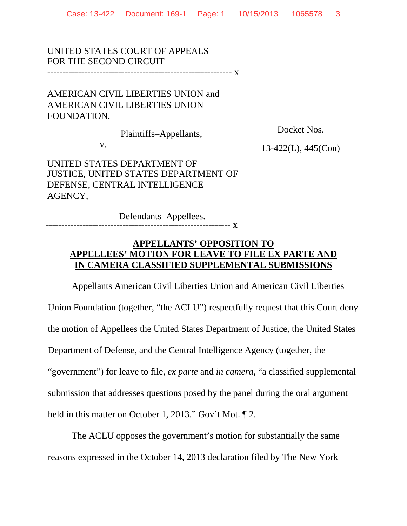UNITED STATES COURT OF APPEALS FOR THE SECOND CIRCUIT ------------------------------------------------------------ x

AMERICAN CIVIL LIBERTIES UNION and AMERICAN CIVIL LIBERTIES UNION FOUNDATION,

Plaintiffs–Appellants,

Docket Nos.

v.

13-422(L), 445(Con)

UNITED STATES DEPARTMENT OF JUSTICE, UNITED STATES DEPARTMENT OF DEFENSE, CENTRAL INTELLIGENCE AGENCY,

Defendants–Appellees. ------------------------------------------------------------ <sup>x</sup>

## **APPELLANTS' OPPOSITION TO APPELLEES' MOTION FOR LEAVE TO FILE EX PARTE AND IN CAMERA CLASSIFIED SUPPLEMENTAL SUBMISSIONS**

Appellants American Civil Liberties Union and American Civil Liberties Union Foundation (together, "the ACLU") respectfully request that this Court deny the motion of Appellees the United States Department of Justice, the United States Department of Defense, and the Central Intelligence Agency (together, the "government") for leave to file, *ex parte* and *in camera*, "a classified supplemental submission that addresses questions posed by the panel during the oral argument held in this matter on October 1, 2013." Gov't Mot.  $\P$  2.

The ACLU opposes the government's motion for substantially the same reasons expressed in the October 14, 2013 declaration filed by The New York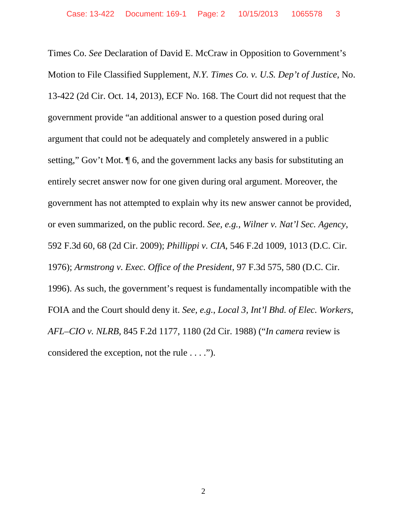Times Co. *See* Declaration of David E. McCraw in Opposition to Government's Motion to File Classified Supplement, *N.Y. Times Co. v. U.S. Dep't of Justice*, No. 13-422 (2d Cir. Oct. 14, 2013), ECF No. 168. The Court did not request that the government provide "an additional answer to a question posed during oral argument that could not be adequately and completely answered in a public setting," Gov't Mot. ¶ 6, and the government lacks any basis for substituting an entirely secret answer now for one given during oral argument. Moreover, the government has not attempted to explain why its new answer cannot be provided, or even summarized, on the public record. *See, e.g.*, *Wilner v. Nat'l Sec. Agency*, 592 F.3d 60, 68 (2d Cir. 2009); *Phillippi v. CIA,* 546 F.2d 1009, 1013 (D.C. Cir. 1976); *Armstrong v. Exec. Office of the President*, 97 F.3d 575, 580 (D.C. Cir. 1996). As such, the government's request is fundamentally incompatible with the FOIA and the Court should deny it. *See, e.g.*, *Local 3, Int'l Bhd. of Elec. Workers, AFL–CIO v. NLRB,* 845 F.2d 1177, 1180 (2d Cir. 1988) ("*In camera* review is considered the exception, not the rule . . . .").